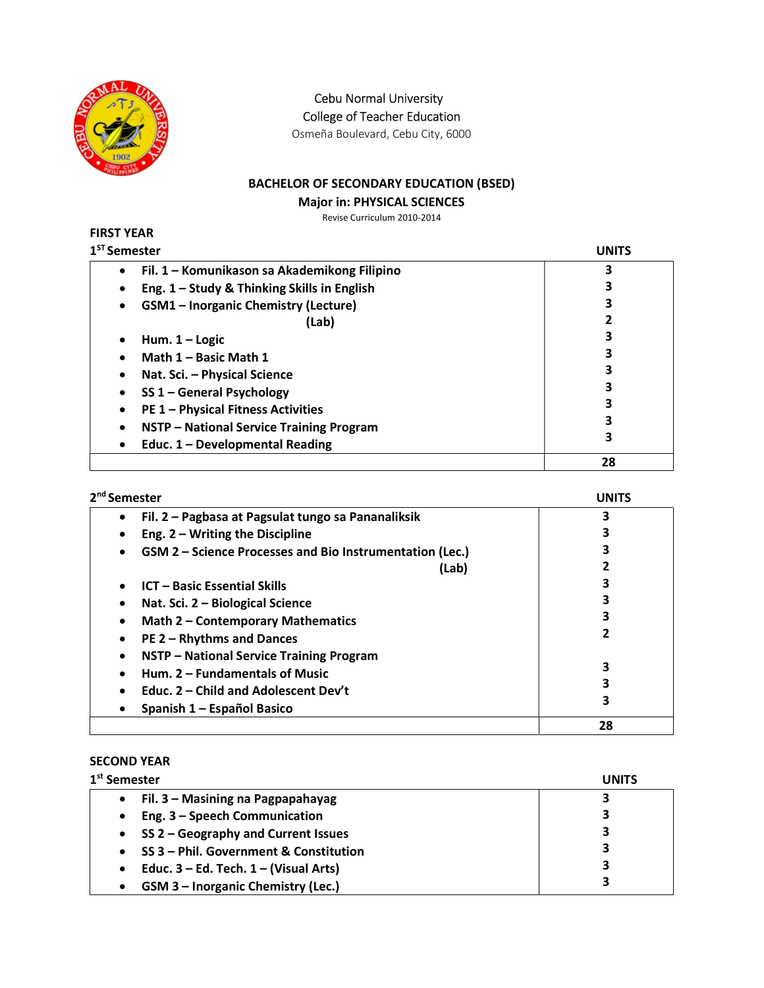

Cebu Normal University

College of Teacher Education

Osmeña Boulevard, Cebu City, 6000

## BACHELOR OF SECONDARY EDUCATION (BSED)

#### Major in: PHYSICAL SCIENCES

Revise Curriculum 2010-2014

| FIRST YEAR |                                         |
|------------|-----------------------------------------|
|            | $\boldsymbol{1}^{\texttt{ST}}$ Semestei |

| <sup>ST</sup> Semester                                | UNITS |
|-------------------------------------------------------|-------|
| Fil. 1 - Komunikason sa Akademikong Filipino<br>٠     |       |
| Eng. 1 - Study & Thinking Skills in English           |       |
| <b>GSM1</b> - Inorganic Chemistry (Lecture)           | 3     |
| (Lab)                                                 |       |
| Hum. $1 -$ Logic                                      | 3     |
| Math 1 - Basic Math 1                                 |       |
| Nat. Sci. - Physical Science                          | 3     |
| SS 1 - General Psychology                             |       |
| <b>PE 1 - Physical Fitness Activities</b>             |       |
| NSTP - National Service Training Program<br>$\bullet$ |       |
| Educ. 1 - Developmental Reading                       | 3     |
|                                                       | 28    |

| 2 <sup>nd</sup> Semester                                        | <b>UNITS</b> |
|-----------------------------------------------------------------|--------------|
| Fil. 2 - Pagbasa at Pagsulat tungo sa Pananaliksik<br>$\bullet$ | 3            |
| Eng. $2 - W$ riting the Discipline<br>٠                         |              |
| GSM 2 - Science Processes and Bio Instrumentation (Lec.)<br>٠   | 3            |
| (Lab)                                                           |              |
| <b>ICT - Basic Essential Skills</b><br>$\bullet$                | 3            |
| Nat. Sci. 2 - Biological Science<br>٠                           | 3            |
| Math 2 - Contemporary Mathematics<br>$\bullet$                  | 3            |
| <b>PE 2 - Rhythms and Dances</b><br>٠                           | 2            |
| NSTP - National Service Training Program<br>٠                   |              |
| Hum. 2 - Fundamentals of Music<br>$\bullet$                     | 3            |
| Educ. 2 – Child and Adolescent Dev't                            | 3            |
| Spanish 1 – Español Basico<br>٠                                 | 3            |
|                                                                 | 28           |

#### SECOND YEAR

| 1 <sup>st</sup> Semester                   | <b>UNITS</b> |
|--------------------------------------------|--------------|
| Fil. 3 - Masining na Pagpapahayag          | 3            |
| Eng. 3 - Speech Communication              | 3            |
| SS 2 - Geography and Current Issues        | 3            |
| SS 3 - Phil. Government & Constitution     | 3            |
| Educ. $3 - Ed$ . Tech. $1 - (Visual Arts)$ | 3            |
| <b>GSM 3 - Inorganic Chemistry (Lec.)</b>  | 3            |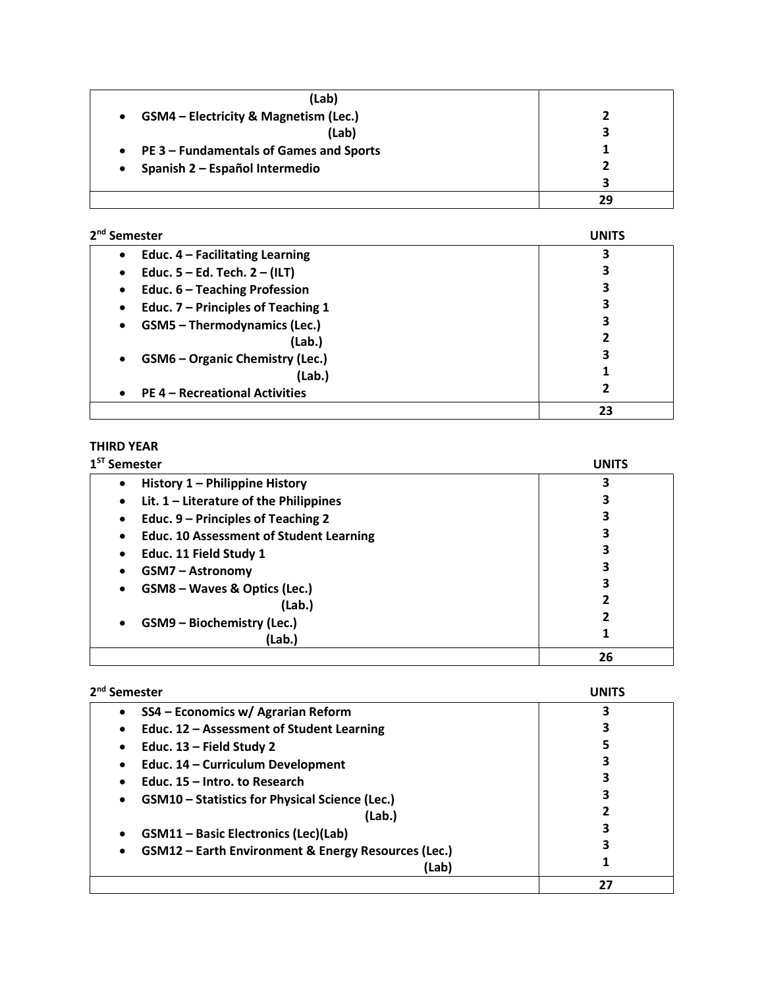| (Lab)                                                |    |
|------------------------------------------------------|----|
| GSM4 - Electricity & Magnetism (Lec.)<br>$\bullet$   |    |
| (Lab)                                                | 3  |
| PE 3 – Fundamentals of Games and Sports<br>$\bullet$ |    |
| Spanish 2 - Español Intermedio                       |    |
|                                                      | ว  |
|                                                      | 29 |

| 2 <sup>nd</sup> Semester                            | <b>UNITS</b> |
|-----------------------------------------------------|--------------|
| Educ. $4$ – Facilitating Learning<br>$\bullet$      | 3            |
| Educ. $5 - Ed$ . Tech. $2 - (ILT)$<br>$\bullet$     | З            |
| Educ. 6 - Teaching Profession<br>$\bullet$          | 3            |
| Educ. 7 - Principles of Teaching 1<br>$\bullet$     |              |
| <b>GSM5 - Thermodynamics (Lec.)</b><br>٠            | 3            |
| (Lab.)                                              | 2            |
| <b>GSM6 - Organic Chemistry (Lec.)</b><br>$\bullet$ | 3            |
| (Lab.)                                              |              |
| <b>PE 4 - Recreational Activities</b><br>$\bullet$  |              |
|                                                     | 23           |

## THIRD YEAR

| $1ST$ Semester                                              | <b>UNITS</b> |
|-------------------------------------------------------------|--------------|
| History 1 - Philippine History<br>$\bullet$                 |              |
| Lit. $1$ – Literature of the Philippines<br>٠               |              |
| Educ. 9 – Principles of Teaching 2<br>$\bullet$             |              |
| <b>Educ. 10 Assessment of Student Learning</b><br>$\bullet$ |              |
| Educ. 11 Field Study 1<br>$\bullet$                         |              |
| <b>GSM7 - Astronomy</b>                                     |              |
| GSM8 - Waves & Optics (Lec.)<br>٠                           |              |
| (Lab.)                                                      | 2            |
| GSM9 - Biochemistry (Lec.)<br>$\bullet$                     | 2            |
| (Lab.)                                                      |              |
|                                                             | 26           |

| 2 <sup>nd</sup> Semester                                         | UNITS |
|------------------------------------------------------------------|-------|
| SS4 - Economics w/ Agrarian Reform<br>٠                          |       |
| Educ. 12 - Assessment of Student Learning<br>$\bullet$           |       |
| Educ. $13$ – Field Study 2<br>٠                                  |       |
| Educ. 14 - Curriculum Development<br>٠                           |       |
| Educ. 15 - Intro. to Research<br>$\bullet$                       |       |
| <b>GSM10</b> – Statistics for Physical Science (Lec.)<br>٠       |       |
| (Lab.)                                                           |       |
| <b>GSM11-Basic Electronics (Lec)(Lab)</b><br>$\bullet$           |       |
| GSM12 - Earth Environment & Energy Resources (Lec.)<br>$\bullet$ | 3     |
| (Lab)                                                            |       |
|                                                                  | 27    |